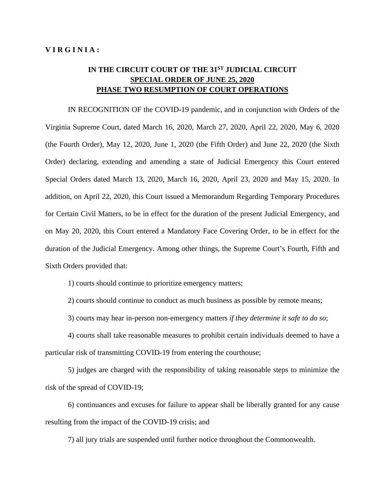## IN THE CIRCUIT COURT OF THE 31<sup>ST</sup> JUDICIAL CIRCUIT **SPECIAL ORDER OF JUNE 25, 2020 PHASE TWO RESUMPTION OF COURT OPERATIONS**

IN RECOGNITION OF the COVID-19 pandemic, and in conjunction with Orders of the Virginia Supreme Court, dated March 16, 2020, March 27, 2020, April 22, 2020, May 6, 2020 (the Fourth Order), May 12, 2020, June 1, 2020 (the Fifth Order) and June 22, 2020 (the Sixth Order) declaring, extending and amending a state of Judicial Emergency this Court entered Special Orders dated March 13, 2020, March 16, 2020, April 23, 2020 and May 15, 2020. In addition, on April 22, 2020, this Court issued a Memorandum Regarding Temporary Procedures for Certain Civil Matters, to be in effect for the duration of the present Judicial Emergency, and on May 20, 2020, this Court entered a Mandatory Face Covering Order, to be in effect for the duration of the Judicial Emergency. Among other things, the Supreme Court's Fourth, Fifth and Sixth Orders provided that:

1) courts should continue to prioritize emergency matters;

2) courts should continue to conduct as much business as possible by remote means;

3) courts may hear in-person non-emergency matters *if they determine it safe to do so*;

4) courts shall take reasonable measures to prohibit certain individuals deemed to have a particular risk of transmitting COVID-19 from entering the courthouse;

5) judges are charged with the responsibility of taking reasonable steps to minimize the risk of the spread of COVID-19;

6) continuances and excuses for failure to appear shall be liberally granted for any cause resulting from the impact of the COVID-19 crisis; and

7) all jury trials are suspended until further notice throughout the Commonwealth.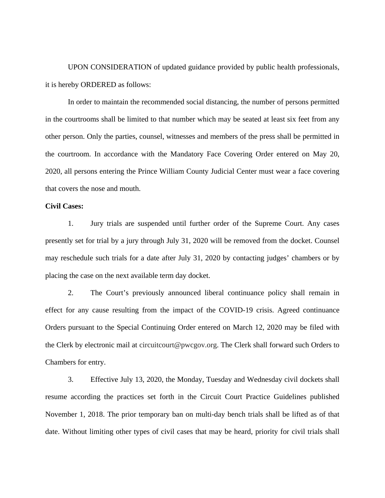UPON CONSIDERATION of updated guidance provided by public health professionals, it is hereby ORDERED as follows:

In order to maintain the recommended social distancing, the number of persons permitted in the courtrooms shall be limited to that number which may be seated at least six feet from any other person. Only the parties, counsel, witnesses and members of the press shall be permitted in the courtroom. In accordance with the Mandatory Face Covering Order entered on May 20, 2020, all persons entering the Prince William County Judicial Center must wear a face covering that covers the nose and mouth.

## **Civil Cases:**

1. Jury trials are suspended until further order of the Supreme Court. Any cases presently set for trial by a jury through July 31, 2020 will be removed from the docket. Counsel may reschedule such trials for a date after July 31, 2020 by contacting judges' chambers or by placing the case on the next available term day docket.

2. The Court's previously announced liberal continuance policy shall remain in effect for any cause resulting from the impact of the COVID-19 crisis. Agreed continuance Orders pursuant to the Special Continuing Order entered on March 12, 2020 may be filed with the Clerk by electronic mail at circuitcourt@pwcgov.org. The Clerk shall forward such Orders to Chambers for entry.

3. Effective July 13, 2020, the Monday, Tuesday and Wednesday civil dockets shall resume according the practices set forth in the Circuit Court Practice Guidelines published November 1, 2018. The prior temporary ban on multi-day bench trials shall be lifted as of that date. Without limiting other types of civil cases that may be heard, priority for civil trials shall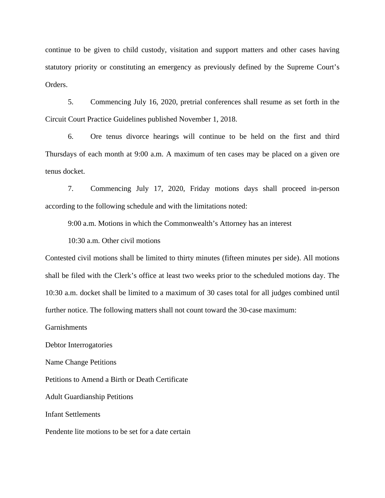continue to be given to child custody, visitation and support matters and other cases having statutory priority or constituting an emergency as previously defined by the Supreme Court's Orders.

5. Commencing July 16, 2020, pretrial conferences shall resume as set forth in the Circuit Court Practice Guidelines published November 1, 2018.

6. Ore tenus divorce hearings will continue to be held on the first and third Thursdays of each month at 9:00 a.m. A maximum of ten cases may be placed on a given ore tenus docket.

7. Commencing July 17, 2020, Friday motions days shall proceed in-person according to the following schedule and with the limitations noted:

9:00 a.m. Motions in which the Commonwealth's Attorney has an interest

10:30 a.m. Other civil motions

Contested civil motions shall be limited to thirty minutes (fifteen minutes per side). All motions shall be filed with the Clerk's office at least two weeks prior to the scheduled motions day. The 10:30 a.m. docket shall be limited to a maximum of 30 cases total for all judges combined until further notice. The following matters shall not count toward the 30-case maximum:

Garnishments

Debtor Interrogatories

Name Change Petitions

Petitions to Amend a Birth or Death Certificate

Adult Guardianship Petitions

Infant Settlements

Pendente lite motions to be set for a date certain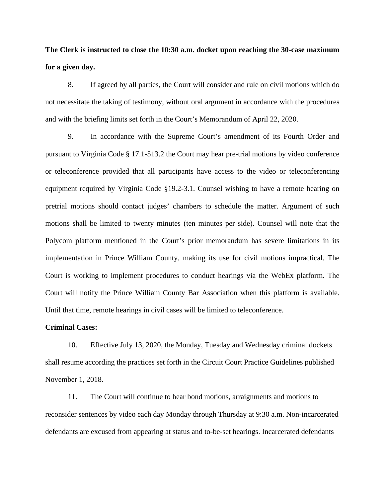**The Clerk is instructed to close the 10:30 a.m. docket upon reaching the 30-case maximum for a given day.** 

8. If agreed by all parties, the Court will consider and rule on civil motions which do not necessitate the taking of testimony, without oral argument in accordance with the procedures and with the briefing limits set forth in the Court's Memorandum of April 22, 2020.

9. In accordance with the Supreme Court's amendment of its Fourth Order and pursuant to Virginia Code § 17.1-513.2 the Court may hear pre-trial motions by video conference or teleconference provided that all participants have access to the video or teleconferencing equipment required by Virginia Code §19.2-3.1. Counsel wishing to have a remote hearing on pretrial motions should contact judges' chambers to schedule the matter. Argument of such motions shall be limited to twenty minutes (ten minutes per side). Counsel will note that the Polycom platform mentioned in the Court's prior memorandum has severe limitations in its implementation in Prince William County, making its use for civil motions impractical. The Court is working to implement procedures to conduct hearings via the WebEx platform. The Court will notify the Prince William County Bar Association when this platform is available. Until that time, remote hearings in civil cases will be limited to teleconference.

## **Criminal Cases:**

10. Effective July 13, 2020, the Monday, Tuesday and Wednesday criminal dockets shall resume according the practices set forth in the Circuit Court Practice Guidelines published November 1, 2018.

11. The Court will continue to hear bond motions, arraignments and motions to reconsider sentences by video each day Monday through Thursday at 9:30 a.m. Non-incarcerated defendants are excused from appearing at status and to-be-set hearings. Incarcerated defendants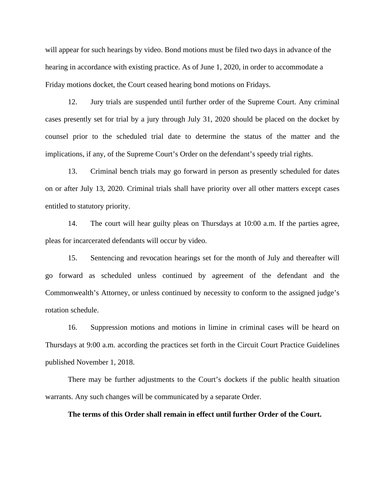will appear for such hearings by video. Bond motions must be filed two days in advance of the hearing in accordance with existing practice. As of June 1, 2020, in order to accommodate a Friday motions docket, the Court ceased hearing bond motions on Fridays.

12. Jury trials are suspended until further order of the Supreme Court. Any criminal cases presently set for trial by a jury through July 31, 2020 should be placed on the docket by counsel prior to the scheduled trial date to determine the status of the matter and the implications, if any, of the Supreme Court's Order on the defendant's speedy trial rights.

13. Criminal bench trials may go forward in person as presently scheduled for dates on or after July 13, 2020. Criminal trials shall have priority over all other matters except cases entitled to statutory priority.

14. The court will hear guilty pleas on Thursdays at 10:00 a.m. If the parties agree, pleas for incarcerated defendants will occur by video.

15. Sentencing and revocation hearings set for the month of July and thereafter will go forward as scheduled unless continued by agreement of the defendant and the Commonwealth's Attorney, or unless continued by necessity to conform to the assigned judge's rotation schedule.

16. Suppression motions and motions in limine in criminal cases will be heard on Thursdays at 9:00 a.m. according the practices set forth in the Circuit Court Practice Guidelines published November 1, 2018.

There may be further adjustments to the Court's dockets if the public health situation warrants. Any such changes will be communicated by a separate Order.

## **The terms of this Order shall remain in effect until further Order of the Court.**